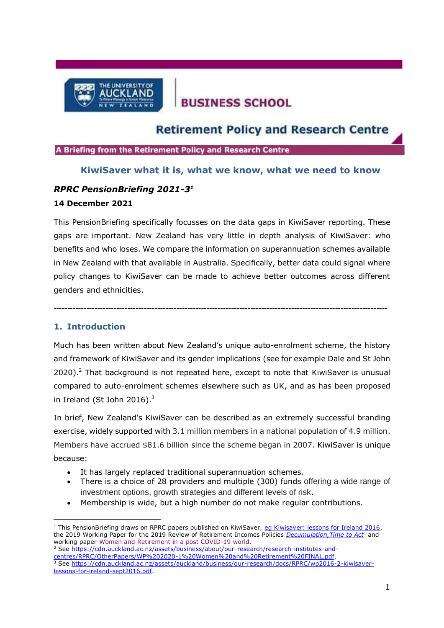

# **BUSINESS SCHOOL**

## **Retirement Policy and Research Centre**

A Briefing from the Retirement Policy and Research Centre

### **KiwiSaver what it is, what we know, what we need to know**

## *RPRC PensionBriefing 2021-3 1*

#### **14 December 2021**

This PensionBriefing specifically focusses on the data gaps in KiwiSaver reporting. These gaps are important. New Zealand has very little in depth analysis of KiwiSaver: who benefits and who loses. We compare the information on superannuation schemes available in New Zealand with that available in Australia. Specifically, better data could signal where policy changes to KiwiSaver can be made to achieve better outcomes across different genders and ethnicities.

**--------------------------------------------------------------------------------------------------------------------------**

## **1. Introduction**

Much has been written about New Zealand's unique auto-enrolment scheme, the history and framework of KiwiSaver and its gender implications (see for example Dale and St John  $2020$ ).<sup>2</sup> That background is not repeated here, except to note that KiwiSaver is unusual compared to auto-enrolment schemes elsewhere such as UK, and as has been proposed in Ireland (St John 2016). $3$ 

In brief, New Zealand's KiwiSaver can be described as an extremely successful branding exercise, widely supported with 3.1 million members in a national population of 4.9 million. Members have accrued \$81.6 billion since the scheme began in 2007. KiwiSaver is unique because:

- It has largely replaced traditional superannuation schemes.
- There is a choice of 28 providers and multiple (300) funds offering a wide range of investment options, growth strategies and different levels of risk.
- Membership is wide, but a high number do not make regular contributions.

<sup>2</sup> See [https://cdn.auckland.ac.nz/assets/business/about/our-research/research-institutes-and](https://cdn.auckland.ac.nz/assets/business/about/our-research/research-institutes-and-centres/RPRC/OtherPapers/WP%202020-1%20Women%20and%20Retirement%20FINAL.pdf)[centres/RPRC/OtherPapers/WP%202020-1%20Women%20and%20Retirement%20FINAL.pdf.](https://cdn.auckland.ac.nz/assets/business/about/our-research/research-institutes-and-centres/RPRC/OtherPapers/WP%202020-1%20Women%20and%20Retirement%20FINAL.pdf) <sup>3</sup> See [https://cdn.auckland.ac.nz/assets/auckland/business/our-research/docs/RPRC/wp2016-2-kiwisaver](https://cdn.auckland.ac.nz/assets/auckland/business/our-research/docs/RPRC/wp2016-2-kiwisaver-lessons-for-ireland-sept2016.pdf)[lessons-for-ireland-sept2016.pdf.](https://cdn.auckland.ac.nz/assets/auckland/business/our-research/docs/RPRC/wp2016-2-kiwisaver-lessons-for-ireland-sept2016.pdf)

 $1$  This PensionBriefing draws on RPRC papers published on KiwiSaver, [eg Kiwisaver: lessons for Ireland 2016,](https://cdn.auckland.ac.nz/assets/business/about/our-research/research-institutes-and-centres/RPRC/publications/TOR%208%20FINAL%20St%20John%20and%20Dale%205%20September.pdf) the 2019 Working Paper for the 2019 Review of Retirement Incomes Policies *[Decumulation,Time to Act](https://d.docs.live.net/847781c78d83faac/Documents/projects%202021/2021%20Kiwisaver/Kiwisaver%202016.pdf)* and working paper Women and [Retirement](https://cdn.auckland.ac.nz/assets/business/about/our-research/research-institutes-and-centres/RPRC/OtherPapers/WP%202020-1%20Women%20and%20Retirement%20FINAL.pdf) in a post COVID-19 world.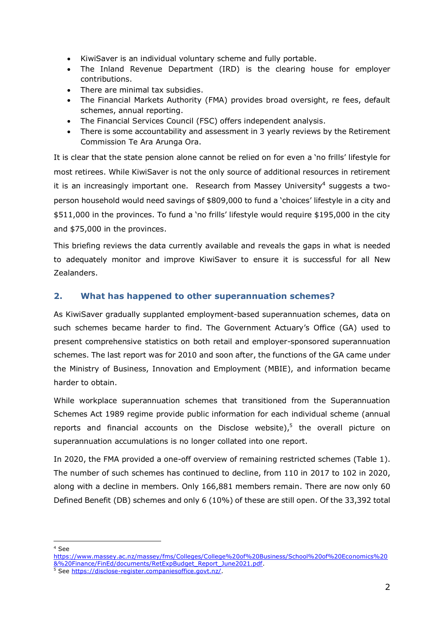- KiwiSaver is an individual voluntary scheme and fully portable.
- The Inland Revenue Department (IRD) is the clearing house for employer contributions.
- There are minimal tax subsidies.
- The Financial Markets Authority (FMA) provides broad oversight, re fees, default schemes, annual reporting.
- The Financial Services Council (FSC) offers independent analysis.
- There is some accountability and assessment in 3 yearly reviews by the Retirement Commission Te Ara Arunga Ora.

It is clear that the state pension alone cannot be relied on for even a 'no frills' lifestyle for most retirees. While KiwiSaver is not the only source of additional resources in retirement it is an increasingly important one. Research from Massey University<sup>4</sup> suggests a twoperson household would need savings of \$809,000 to fund a 'choices' lifestyle in a city and \$511,000 in the provinces. To fund a 'no frills' lifestyle would require \$195,000 in the city and \$75,000 in the provinces.

This briefing reviews the data currently available and reveals the gaps in what is needed to adequately monitor and improve KiwiSaver to ensure it is successful for all New Zealanders.

## **2. What has happened to other superannuation schemes?**

As KiwiSaver gradually supplanted employment-based superannuation schemes, data on such schemes became harder to find. The Government Actuary's Office (GA) used to present comprehensive statistics on both retail and employer-sponsored superannuation schemes. The last report was for 2010 and soon after, the functions of the GA came under the Ministry of Business, Innovation and Employment (MBIE), and information became harder to obtain.

While workplace superannuation schemes that transitioned from the Superannuation Schemes Act 1989 regime provide public information for each individual scheme (annual reports and financial accounts on the Disclose website), $5$  the overall picture on superannuation accumulations is no longer collated into one report.

In 2020, the FMA provided a one-off overview of remaining restricted schemes (Table 1). The number of such schemes has continued to decline, from 110 in 2017 to 102 in 2020, along with a decline in members. Only 166,881 members remain. There are now only 60 Defined Benefit (DB) schemes and only 6 (10%) of these are still open. Of the 33,392 total

<sup>4</sup> See

[https://www.massey.ac.nz/massey/fms/Colleges/College%20of%20Business/School%20of%20Economics%20](https://www.massey.ac.nz/massey/fms/Colleges/College%20of%20Business/School%20of%20Economics%20&%20Finance/FinEd/documents/RetExpBudget_Report_June2021.pdf) [&%20Finance/FinEd/documents/RetExpBudget\\_Report\\_June2021.pdf.](https://www.massey.ac.nz/massey/fms/Colleges/College%20of%20Business/School%20of%20Economics%20&%20Finance/FinEd/documents/RetExpBudget_Report_June2021.pdf)

<sup>5</sup> See [https://disclose-register.companiesoffice.govt.nz/.](https://disclose-register.companiesoffice.govt.nz/)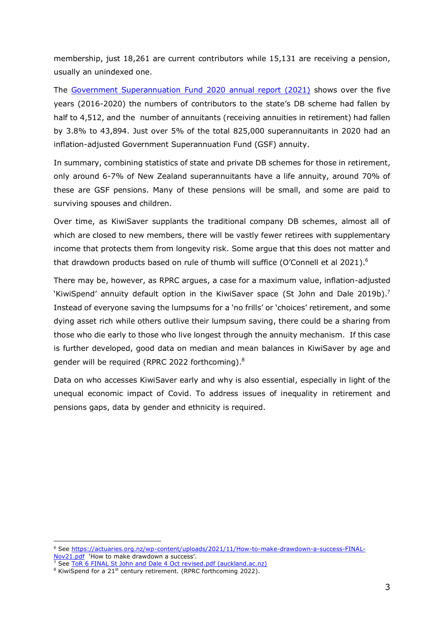membership, just 18,261 are current contributors while 15,131 are receiving a pension, usually an unindexed one.

The [Government Superannuation Fund](https://www.gsfa.govt.nz/publications/annual-report/gsfa-annual-report-2020.pdf) 2020 annual report (2021) shows over the five years (2016-2020) the numbers of contributors to the state's DB scheme had fallen by half to 4,512, and the number of annuitants (receiving annuities in retirement) had fallen by 3.8% to 43,894. Just over 5% of the total 825,000 superannuitants in 2020 had an inflation-adjusted Government Superannuation Fund (GSF) annuity.

In summary, combining statistics of state and private DB schemes for those in retirement, only around 6-7% of New Zealand superannuitants have a life annuity, around 70% of these are GSF pensions. Many of these pensions will be small, and some are paid to surviving spouses and children.

Over time, as KiwiSaver supplants the traditional company DB schemes, almost all of which are closed to new members, there will be vastly fewer retirees with supplementary income that protects them from longevity risk. Some argue that this does not matter and that drawdown products based on rule of thumb will suffice (O'Connell et al 2021).<sup>6</sup>

There may be, however, as RPRC argues, a case for a maximum value, inflation-adjusted 'KiwiSpend' annuity default option in the KiwiSaver space (St John and Dale 2019b).<sup>7</sup> Instead of everyone saving the lumpsums for a 'no frills' or 'choices' retirement, and some dying asset rich while others outlive their lumpsum saving, there could be a sharing from those who die early to those who live longest through the annuity mechanism. If this case is further developed, good data on median and mean balances in KiwiSaver by age and gender will be required (RPRC 2022 forthcoming). $8$ 

Data on who accesses KiwiSaver early and why is also essential, especially in light of the unequal economic impact of Covid. To address issues of inequality in retirement and pensions gaps, data by gender and ethnicity is required.

<sup>6</sup> See [https://actuaries.org.nz/wp-content/uploads/2021/11/How-to-make-drawdown-a-success-FINAL-](https://actuaries.org.nz/wp-content/uploads/2021/11/How-to-make-drawdown-a-success-FINAL-Nov21.pdf)[Nov21.pdf](https://actuaries.org.nz/wp-content/uploads/2021/11/How-to-make-drawdown-a-success-FINAL-Nov21.pdf) 'How to make drawdown a success'.

 $7$  See [ToR 6 FINAL St John and Dale 4 Oct revised.pdf \(auckland.ac.nz\)](https://cdn.auckland.ac.nz/assets/business/about/our-research/research-institutes-and-centres/RPRC/OtherPapers/ToR%206%20FINAL%20St%20John%20and%20Dale%204%20Oct%20revised.pdf)

<sup>&</sup>lt;sup>8</sup> KiwiSpend for a 21<sup>st</sup> century retirement. (RPRC forthcoming 2022).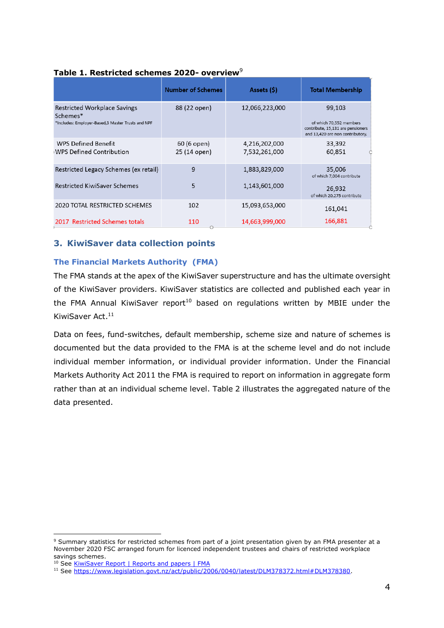|                                                                                                      | <b>Number of Schemes</b>    | Assets (\$)                    | <b>Total Membership</b>                                                                                    |
|------------------------------------------------------------------------------------------------------|-----------------------------|--------------------------------|------------------------------------------------------------------------------------------------------------|
| <b>Restricted Workplace Savings</b><br>Schemes*<br>*Includes: Employer-Based,3 Master Trusts and NPF | 88 (22 open)                | 12,066,223,000                 | 99,103<br>of which 70,552 members<br>contribute, 15,131 are pensioners<br>and 13,420 are non contributory. |
| <b>WPS Defined Benefit</b><br><b>WPS Defined Contribution</b>                                        | 60 (6 open)<br>25 (14 open) | 4,216,202,000<br>7,532,261,000 | 33,392<br>60,851                                                                                           |
| Restricted Legacy Schemes (ex retail)                                                                | 9                           | 1,883,829,000                  | 35,006<br>of which 7,004 contribute                                                                        |
| <b>Restricted KiwiSaver Schemes</b>                                                                  | 5                           | 1,143,601,000                  | 26,932<br>of which 20,275 contribute                                                                       |
| 2020 TOTAL RESTRICTED SCHEMES                                                                        | 102                         | 15,093,653,000                 | 161,041                                                                                                    |
| 2017 Restricted Schemes totals                                                                       | 110                         | 14,663,999,000                 | 166,881                                                                                                    |

#### **Table 1. Restricted schemes 2020- overview**<sup>9</sup>

## **3. KiwiSaver data collection points**

#### **The Financial Markets Authority (FMA)**

The FMA stands at the apex of the KiwiSaver superstructure and has the ultimate oversight of the KiwiSaver providers. KiwiSaver statistics are collected and published each year in the FMA Annual KiwiSaver report<sup>10</sup> based on regulations written by MBIE under the KiwiSaver Act.<sup>11</sup>

Data on fees, fund-switches, default membership, scheme size and nature of schemes is documented but the data provided to the FMA is at the scheme level and do not include individual member information, or individual provider information. Under the Financial Markets Authority Act 2011 the FMA is required to report on information in aggregate form rather than at an individual scheme level. Table 2 illustrates the aggregated nature of the data presented.

<sup>9</sup> Summary statistics for restricted schemes from part of a joint presentation given by an FMA presenter at a November 2020 FSC arranged forum for licenced independent trustees and chairs of restricted workplace savings schemes.

<sup>&</sup>lt;sup>10</sup> See [KiwiSaver Report | Reports and papers | FMA](https://www.fma.govt.nz/news-and-resources/reports-and-papers/kiwisaver-report/)

<sup>11</sup> See [https://www.legislation.govt.nz/act/public/2006/0040/latest/DLM378372.html#DLM378380.](https://www.legislation.govt.nz/act/public/2006/0040/latest/DLM378372.html#DLM378380)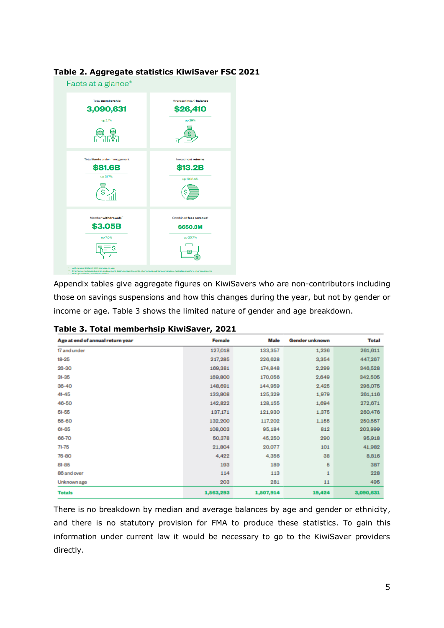

## **Table 2. Aggregate statistics KiwiSaver FSC 2021**

Appendix tables give aggregate figures on KiwiSavers who are non-contributors including those on savings suspensions and how this changes during the year, but not by gender or income or age. Table 3 shows the limited nature of gender and age breakdown.

| Age at end of annual return year | Female    | Male      | <b>Gender unknown</b> | <b>Total</b> |
|----------------------------------|-----------|-----------|-----------------------|--------------|
| 17 and under                     | 127,018   | 133,357   | 1,236                 | 261,611      |
| 18-25                            | 217,285   | 226,628   | 3,354                 | 447,267      |
| 26-30                            | 169,381   | 174,848   | 2,299                 | 346,528      |
| $31 - 35$                        | 169,800   | 170,056   | 2,649                 | 342,505      |
| $36 - 40$                        | 148,691   | 144,959   | 2,425                 | 296,075      |
| $41 - 45$                        | 133,808   | 125,329   | 1,979                 | 261,116      |
| 46-50                            | 142,822   | 128,155   | 1,694                 | 272,671      |
| $51 - 55$                        | 137,171   | 121,930   | 1,375                 | 260,476      |
| 56-60                            | 132,200   | 117,202   | 1,155                 | 250,557      |
| 61-65                            | 108,003   | 95,184    | 812                   | 203,999      |
| 66-70                            | 50,378    | 45,250    | 290                   | 95,918       |
| 71-75                            | 21,804    | 20,077    | 101                   | 41,982       |
| 76-80                            | 4,422     | 4,356     | 38                    | 8,816        |
| 81-85                            | 193       | 189       | 5                     | 387          |
| 86 and over                      | 114       | 113       | 1                     | 228          |
| Unknown age                      | 203       | 281       | 11                    | 495          |
| <b>Totals</b>                    | 1,563,293 | 1,507,914 | 19,424                | 3,090,631    |

**Table 3. Total memberhsip KiwiSaver, 2021**

There is no breakdown by median and average balances by age and gender or ethnicity, and there is no statutory provision for FMA to produce these statistics. To gain this information under current law it would be necessary to go to the KiwiSaver providers directly.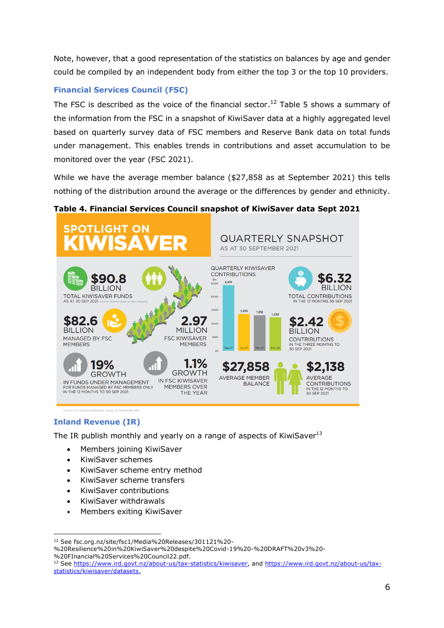Note, however, that a good representation of the statistics on balances by age and gender could be compiled by an independent body from either the top 3 or the top 10 providers.

## **Financial Services Council (FSC)**

The FSC is described as the voice of the financial sector.<sup>12</sup> Table 5 shows a summary of the information from the FSC in a snapshot of KiwiSaver data at a highly aggregated level based on quarterly survey data of FSC members and Reserve Bank data on total funds under management. This enables trends in contributions and asset accumulation to be monitored over the year (FSC 2021).

While we have the average member balance (\$27,858 as at September 2021) this tells nothing of the distribution around the average or the differences by gender and ethnicity.

## **Table 4. Financial Services Council snapshot of KiwiSaver data Sept 2021**



## **Inland Revenue (IR)**

The IR publish monthly and yearly on a range of aspects of KiwiSaver $13$ 

- [Members joining KiwiSaver](https://www.ird.govt.nz/about-us/tax-statistics/kiwisaver/joining)
- [KiwiSaver schemes](https://www.ird.govt.nz/about-us/tax-statistics/kiwisaver/schemes)
- [KiwiSaver scheme entry method](https://www.ird.govt.nz/about-us/tax-statistics/kiwisaver/schemes/entry-method)
- [KiwiSaver scheme transfers](https://www.ird.govt.nz/about-us/tax-statistics/kiwisaver/schemes/transfer)
- [KiwiSaver contributions](https://www.ird.govt.nz/about-us/tax-statistics/kiwisaver/contributions)
- [KiwiSaver withdrawals](https://www.ird.govt.nz/about-us/tax-statistics/kiwisaver/withdrawals)
- [Members exiting KiwiSaver](https://www.ird.govt.nz/about-us/tax-statistics/kiwisaver/exiting)

<sup>12</sup> See fsc.org.nz/site/fsc1/Media%20Releases/301121%20-

<sup>%20</sup>Resilience%20in%20KiwiSaver%20despite%20Covid-19%20-%20DRAFT%20v3%20- %20FInancial%20Services%20Council22.pdf.

<sup>&</sup>lt;sup>13</sup> See [https://www.ird.govt.nz/about-us/tax-statistics/kiwisaver,](https://www.ird.govt.nz/about-us/tax-statistics/kiwisaver) and [https://www.ird.govt.nz/about-us/tax](https://www.ird.govt.nz/about-us/tax-statistics/kiwisaver/datasets)[statistics/kiwisaver/datasets.](https://www.ird.govt.nz/about-us/tax-statistics/kiwisaver/datasets)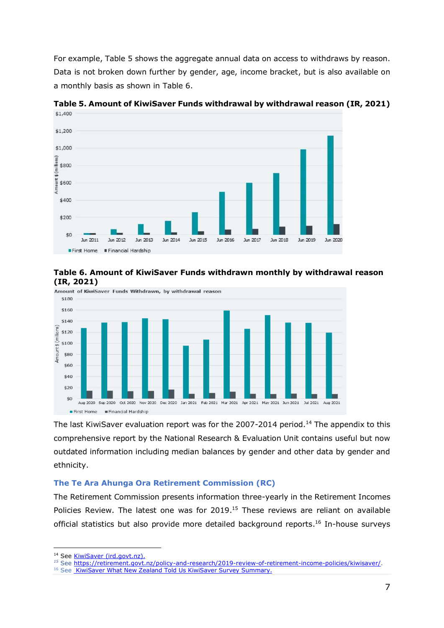For example, Table 5 shows the aggregate annual data on access to withdraws by reason. Data is not broken down further by gender, age, income bracket, but is also available on a monthly basis as shown in Table 6.



**Table 5. Amount of KiwiSaver Funds withdrawal by withdrawal reason (IR, 2021)** \$1,400





The last KiwiSaver evaluation report was for the 2007-2014 period.<sup>14</sup> The appendix to this comprehensive report by the National Research & Evaluation Unit contains useful but now outdated information including median balances by gender and other data by gender and ethnicity.

#### **The Te Ara Ahunga Ora Retirement Commission (RC)**

The Retirement Commission presents information three-yearly in the Retirement Incomes Policies Review. The latest one was for 2019.<sup>15</sup> These reviews are reliant on available official statistics but also provide more detailed background reports. <sup>16</sup> In-house surveys

<sup>&</sup>lt;sup>14</sup> See [KiwiSaver \(ird.govt.nz\).](https://www.ird.govt.nz/about-us/publications/research-evaluation/kiwisaver)

*<sup>15</sup>* See [https://retirement.govt.nz/policy-and-research/2019-review-of-retirement-income-policies/kiwisaver/.](https://retirement.govt.nz/policy-and-research/2019-review-of-retirement-income-policies/kiwisaver/)

<sup>&</sup>lt;sup>16</sup> See [KiwiSaver What New Zealand Told Us KiwiSaver Survey Summary.](https://cffc-assets-prod.s3.ap-southeast-2.amazonaws.com/public/Uploads/2016-Review-Of-Retirement-Income-Policies/KiwiSaver-What-NZ-told-Us/6d7b7c5ff4/107-KiwiSaver-What-New-Zealand-Told-Us-KiwiSaver-Survey-Summary.pdf)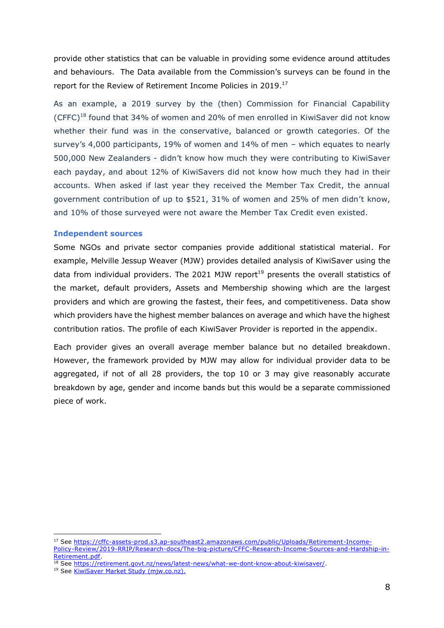provide other statistics that can be valuable in providing some evidence around attitudes and behaviours. The Data available from the Commission's surveys can be found in the report for the Review of Retirement Income Policies in 2019.<sup>17</sup>

As an example, a 2019 survey by the (then) Commission for Financial Capability (CFFC)<sup>18</sup> found that 34% of women and 20% of men enrolled in KiwiSaver did not know whether their fund was in the conservative, balanced or growth categories. Of the survey's 4,000 participants, 19% of women and 14% of men – which equates to nearly 500,000 New Zealanders - didn't know how much they were contributing to KiwiSaver each payday, and about 12% of KiwiSavers did not know how much they had in their accounts. When asked if last year they received the Member Tax Credit, the annual government contribution of up to \$521, 31% of women and 25% of men didn't know, and 10% of those surveyed were not aware the Member Tax Credit even existed.

#### **Independent sources**

Some NGOs and private sector companies provide additional statistical material. For example, Melville Jessup Weaver (MJW) provides detailed analysis of KiwiSaver using the data from individual providers. The 2021 MJW report<sup>19</sup> presents the overall statistics of the market, default providers, Assets and Membership showing which are the largest providers and which are growing the fastest, their fees, and competitiveness. Data show which providers have the highest member balances on average and which have the highest contribution ratios. The profile of each KiwiSaver Provider is reported in the appendix.

Each provider gives an overall average member balance but no detailed breakdown. However, the framework provided by MJW may allow for individual provider data to be aggregated, if not of all 28 providers, the top 10 or 3 may give reasonably accurate breakdown by age, gender and income bands but this would be a separate commissioned piece of work.

<sup>17</sup> See [https://cffc-assets-prod.s3.ap-southeast2.amazonaws.com/public/Uploads/Retirement-Income-](https://cffc-assets-prod.s3.ap-southeast2.amazonaws.com/public/Uploads/Retirement-Income-Policy-Review/2019-RRIP/Research-docs/The-big-picture/CFFC-Research-Income-Sources-and-Hardship-in-Retirement.pdf)[Policy-Review/2019-RRIP/Research-docs/The-big-picture/CFFC-Research-Income-Sources-and-Hardship-in-](https://cffc-assets-prod.s3.ap-southeast2.amazonaws.com/public/Uploads/Retirement-Income-Policy-Review/2019-RRIP/Research-docs/The-big-picture/CFFC-Research-Income-Sources-and-Hardship-in-Retirement.pdf)[Retirement.pdf.](https://cffc-assets-prod.s3.ap-southeast2.amazonaws.com/public/Uploads/Retirement-Income-Policy-Review/2019-RRIP/Research-docs/The-big-picture/CFFC-Research-Income-Sources-and-Hardship-in-Retirement.pdf)

<sup>&</sup>lt;sup>18</sup> See [https://retirement.govt.nz/news/latest-news/what-we-dont-know-about-kiwisaver/.](https://retirement.govt.nz/news/latest-news/what-we-dont-know-about-kiwisaver/)

<sup>19</sup> See [KiwiSaver Market Study \(mjw.co.nz\).](https://mjw.co.nz/wp-content/uploads/2021/10/MJW-KiwiSaver-Market-Review.pdf)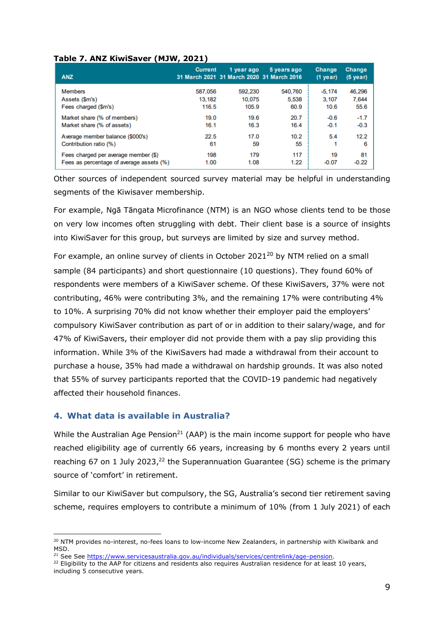| Table 7. ANZ KiwiSaver (MJW, 2021) |
|------------------------------------|
|------------------------------------|

| <b>ANZ</b>                               | <b>Current</b> | 1 year ago<br>31 March 2021 31 March 2020 31 March 2016 | 5 years ago | <b>Change</b><br>$(1$ year) | <b>Change</b><br>(5 year) |
|------------------------------------------|----------------|---------------------------------------------------------|-------------|-----------------------------|---------------------------|
| <b>Members</b>                           | 587,056        | 592,230                                                 | 540,760     | $-5.174$                    | 46.296                    |
| Assets (\$m's)                           | 13,182         | 10,075                                                  | 5.538       | 3.107                       | 7.644                     |
| Fees charged (\$m's)                     | 116.5          | 105.9                                                   | 60.9        | 10.6                        | 55.6                      |
| Market share (% of members)              | 19.0           | 19.6                                                    | 20.7        | $-0.6$                      | $-1.7$                    |
| Market share (% of assets)               | 16.1           | 16.3                                                    | 16.4        | $-0.1$                      | $-0.3$                    |
| Average member balance (\$000's)         | 22.5           | 17.0                                                    | 10.2        | 5.4                         | 12.2                      |
| Contribution ratio (%)                   | 61             | 59                                                      | 55          | 1                           | 6                         |
| Fees charged per average member (\$)     | 198            | 179                                                     | 117         | 19                          | 81                        |
| Fees as percentage of average assets (%) | 1.00           | 1.08                                                    | 1.22        | $-0.07$                     | $-0.22$                   |

Other sources of independent sourced survey material may be helpful in understanding segments of the Kiwisaver membership.

For example, Ngā Tāngata Microfinance (NTM) is an NGO whose clients tend to be those on very low incomes often struggling with debt. Their client base is a source of insights into KiwiSaver for this group, but surveys are limited by size and survey method.

For example, an online survey of clients in October 2021 $^{20}$  by NTM relied on a small sample (84 participants) and short questionnaire (10 questions). They found 60% of respondents were members of a KiwiSaver scheme. Of these KiwiSavers, 37% were not contributing, 46% were contributing 3%, and the remaining 17% were contributing 4% to 10%. A surprising 70% did not know whether their employer paid the employers' compulsory KiwiSaver contribution as part of or in addition to their salary/wage, and for 47% of KiwiSavers, their employer did not provide them with a pay slip providing this information. While 3% of the KiwiSavers had made a withdrawal from their account to purchase a house, 35% had made a withdrawal on hardship grounds. It was also noted that 55% of survey participants reported that the COVID-19 pandemic had negatively affected their household finances.

## **4. What data is available in Australia?**

While the Australian Age Pension<sup>21</sup> (AAP) is the main income support for people who have reached eligibility age of currently 66 years, increasing by 6 months every 2 years until reaching 67 on 1 July 2023, $^{22}$  the Superannuation Guarantee (SG) scheme is the primary source of 'comfort' in retirement.

Similar to our KiwiSaver but compulsory, the SG, Australia's second tier retirement saving scheme, requires employers to contribute a minimum of 10% (from 1 July 2021) of each

<sup>&</sup>lt;sup>20</sup> NTM provides no-interest, no-fees loans to low-income New Zealanders, in partnership with Kiwibank and MSD.

<sup>&</sup>lt;sup>21</sup> See See [https://www.servicesaustralia.gov.au/individuals/services/centrelink/age-pension.](https://www.servicesaustralia.gov.au/individuals/services/centrelink/age-pension)

 $22$  Eligibility to the AAP for citizens and residents also requires Australian residence for at least 10 years, including 5 consecutive years.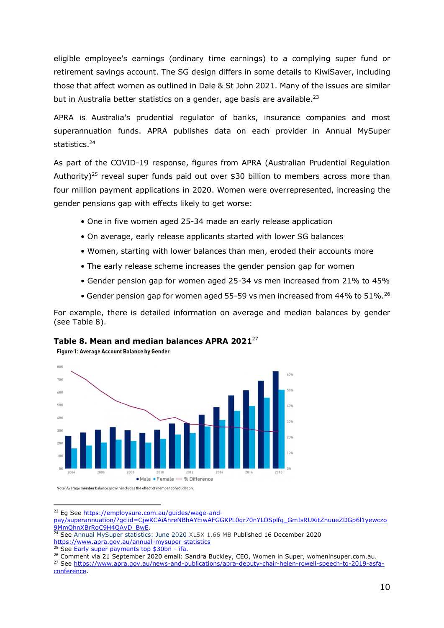eligible employee's earnings (ordinary time earnings) to a complying super fund or retirement savings account. The SG design differs in some details to KiwiSaver, including those that affect women as outlined in Dale & St John 2021. Many of the issues are similar but in Australia better statistics on a gender, age basis are available.<sup>23</sup>

APRA is Australia's prudential regulator of banks, insurance companies and most superannuation funds. APRA publishes data on each provider in Annual MySuper statistics. 24

As part of the COVID-19 response, figures from APRA (Australian Prudential Regulation Authority)<sup>25</sup> reveal super funds paid out over \$30 billion to members across more than four million payment applications in 2020. Women were overrepresented, increasing the gender pensions gap with effects likely to get worse:

- One in five women aged 25-34 made an early release application
- On average, early release applicants started with lower SG balances
- Women, starting with lower balances than men, eroded their accounts more
- The early release scheme increases the gender pension gap for women
- Gender pension gap for women aged 25-34 vs men increased from 21% to 45%
- Gender pension gap for women aged 55-59 vs men increased from 44% to  $51\%$ .<sup>26</sup>

For example, there is detailed information on average and median balances by gender (see Table 8).



Figure 1: Average Account Balance by Gender



<sup>23</sup> Eg See [https://employsure.com.au/guides/wage-and-](https://employsure.com.au/guides/wage-and-pay/superannuation/?gclid=CjwKCAiAhreNBhAYEiwAFGGKPL0qr70nYLOSplfq_GmIsRUXitZnuueZDGp6l1yewczo9MmQhnXBrRoC9H4QAvD_BwE)

[pay/superannuation/?gclid=CjwKCAiAhreNBhAYEiwAFGGKPL0qr70nYLOSplfq\\_GmIsRUXitZnuueZDGp6l1yewczo](https://employsure.com.au/guides/wage-and-pay/superannuation/?gclid=CjwKCAiAhreNBhAYEiwAFGGKPL0qr70nYLOSplfq_GmIsRUXitZnuueZDGp6l1yewczo9MmQhnXBrRoC9H4QAvD_BwE) [9MmQhnXBrRoC9H4QAvD\\_BwE.](https://employsure.com.au/guides/wage-and-pay/superannuation/?gclid=CjwKCAiAhreNBhAYEiwAFGGKPL0qr70nYLOSplfq_GmIsRUXitZnuueZDGp6l1yewczo9MmQhnXBrRoC9H4QAvD_BwE)

<sup>&</sup>lt;sup>24</sup> See [Annual MySuper statistics: June 2020](https://www.apra.gov.au/sites/default/files/2020-12/Annual%20MySuper%20statistics%20June%202020_0.xlsx) XLSX 1.66 MB Published 16 December 2020 <https://www.apra.gov.au/annual-mysuper-statistics>

<sup>&</sup>lt;sup>25</sup> See **Early super payments top \$30bn** - ifa.

<sup>&</sup>lt;sup>26</sup> Comment via 21 September 2020 email: Sandra Buckley, CEO, Women in Super, womeninsuper.com.au.

<sup>27</sup> See [https://www.apra.gov.au/news-and-publications/apra-deputy-chair-helen-rowell-speech-to-2019-asfa](https://www.apra.gov.au/news-and-publications/apra-deputy-chair-helen-rowell-speech-to-2019-asfa-conference)[conference.](https://www.apra.gov.au/news-and-publications/apra-deputy-chair-helen-rowell-speech-to-2019-asfa-conference)